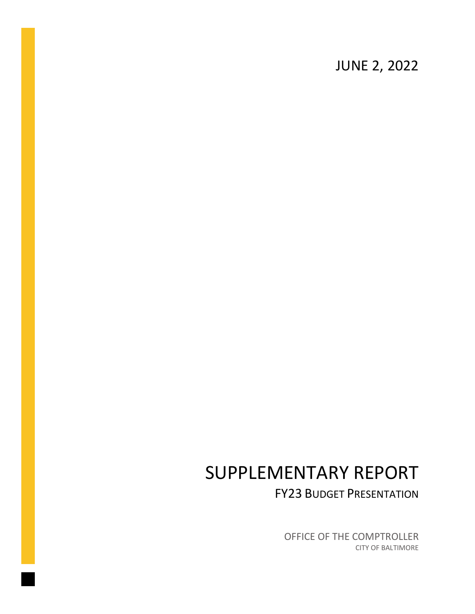JUNE 2, 2022

# SUPPLEMENTARY REPORT

FY23 BUDGET PRESENTATION

OFFICE OF THE COMPTROLLER CITY OF BALTIMORE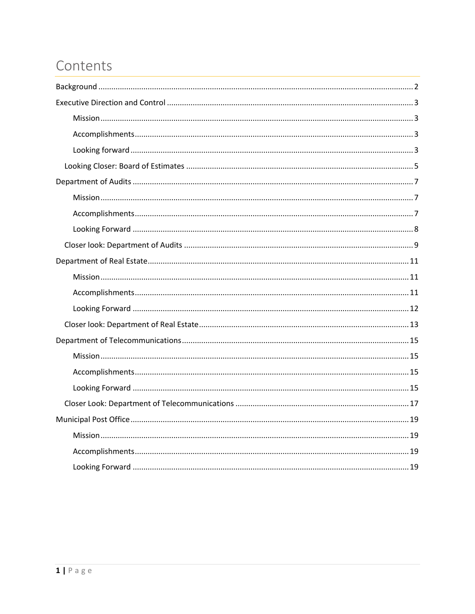## Contents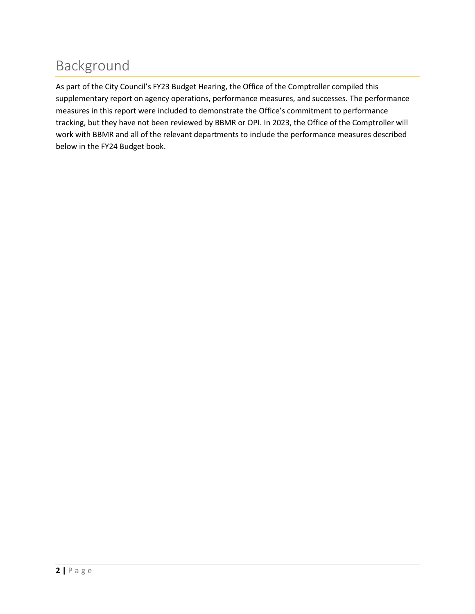# <span id="page-2-0"></span>Background

As part of the City Council's FY23 Budget Hearing, the Office of the Comptroller compiled this supplementary report on agency operations, performance measures, and successes. The performance measures in this report were included to demonstrate the Office's commitment to performance tracking, but they have not been reviewed by BBMR or OPI. In 2023, the Office of the Comptroller will work with BBMR and all of the relevant departments to include the performance measures described below in the FY24 Budget book.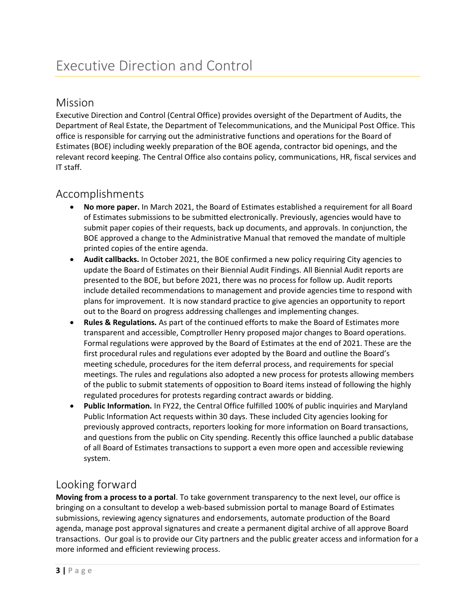#### <span id="page-3-1"></span><span id="page-3-0"></span>Mission

Executive Direction and Control (Central Office) provides oversight of the Department of Audits, the Department of Real Estate, the Department of Telecommunications, and the Municipal Post Office. This office is responsible for carrying out the administrative functions and operations for the Board of Estimates (BOE) including weekly preparation of the BOE agenda, contractor bid openings, and the relevant record keeping. The Central Office also contains policy, communications, HR, fiscal services and IT staff.

### <span id="page-3-2"></span>Accomplishments

- **No more paper.** In March 2021, the Board of Estimates established a requirement for all Board of Estimates submissions to be submitted electronically. Previously, agencies would have to submit paper copies of their requests, back up documents, and approvals. In conjunction, the BOE approved a change to the Administrative Manual that removed the mandate of multiple printed copies of the entire agenda.
- **Audit callbacks.** In October 2021, the BOE confirmed a new policy requiring City agencies to update the Board of Estimates on their Biennial Audit Findings. All Biennial Audit reports are presented to the BOE, but before 2021, there was no process for follow up. Audit reports include detailed recommendations to management and provide agencies time to respond with plans for improvement. It is now standard practice to give agencies an opportunity to report out to the Board on progress addressing challenges and implementing changes.
- **Rules & Regulations.** As part of the continued efforts to make the Board of Estimates more transparent and accessible, Comptroller Henry proposed major changes to Board operations. Formal regulations were approved by the Board of Estimates at the end of 2021. These are the first procedural rules and regulations ever adopted by the Board and outline the Board's meeting schedule, procedures for the item deferral process, and requirements for special meetings. The rules and regulations also adopted a new process for protests allowing members of the public to submit statements of opposition to Board items instead of following the highly regulated procedures for protests regarding contract awards or bidding.
- **Public Information.** In FY22, the Central Office fulfilled 100% of public inquiries and Maryland Public Information Act requests within 30 days. These included City agencies looking for previously approved contracts, reporters looking for more information on Board transactions, and questions from the public on City spending. Recently this office launched a public database of all Board of Estimates transactions to support a even more open and accessible reviewing system.

## <span id="page-3-3"></span>Looking forward

**Moving from a process to a portal**. To take government transparency to the next level, our office is bringing on a consultant to develop a web-based submission portal to manage Board of Estimates submissions, reviewing agency signatures and endorsements, automate production of the Board agenda, manage post approval signatures and create a permanent digital archive of all approve Board transactions. Our goal is to provide our City partners and the public greater access and information for a more informed and efficient reviewing process.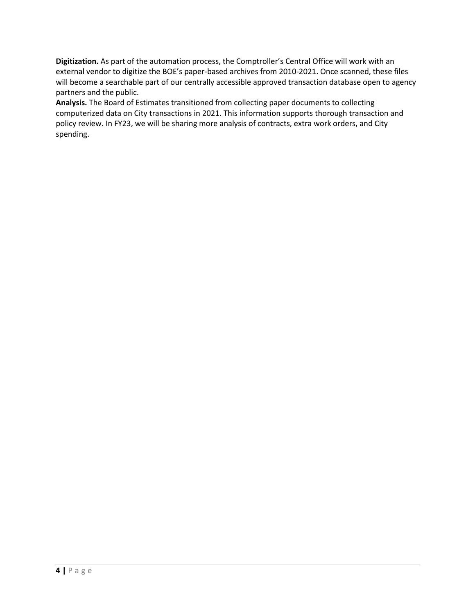**Digitization.** As part of the automation process, the Comptroller's Central Office will work with an external vendor to digitize the BOE's paper-based archives from 2010-2021. Once scanned, these files will become a searchable part of our centrally accessible approved transaction database open to agency partners and the public.

**Analysis.** The Board of Estimates transitioned from collecting paper documents to collecting computerized data on City transactions in 2021. This information supports thorough transaction and policy review. In FY23, we will be sharing more analysis of contracts, extra work orders, and City spending.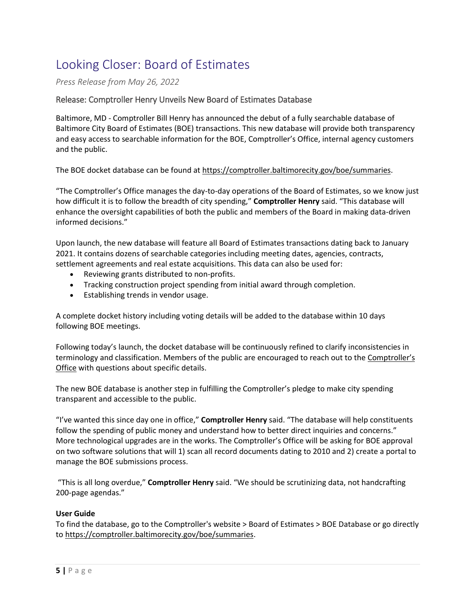## <span id="page-5-0"></span>Looking Closer: Board of Estimates

*Press Release from May 26, 2022*

#### Release: Comptroller Henry Unveils New Board of Estimates Database

Baltimore, MD - Comptroller Bill Henry has announced the debut of a fully searchable database of Baltimore City Board of Estimates (BOE) transactions. This new database will provide both transparency and easy access to searchable information for the BOE, Comptroller's Office, internal agency customers and the public.

The BOE docket database can be found at [https://comptroller.baltimorecity.gov/boe/summaries.](https://lnks.gd/l/eyJhbGciOiJIUzI1NiJ9.eyJidWxsZXRpbl9saW5rX2lkIjoxMDAsInVyaSI6ImJwMjpjbGljayIsImJ1bGxldGluX2lkIjoiMjAyMjA1MjYuNTg0ODA5MTEiLCJ1cmwiOiJodHRwczovL2NvbXB0cm9sbGVyLmJhbHRpbW9yZWNpdHkuZ292L2JvZS9zdW1tYXJpZXMifQ.rRq06XHDlMCOVe4zQFMuk_pvxEZLfHIm3UxB8z_Ktz0/s/2103050492/br/131943392508-l)

"The Comptroller's Office manages the day-to-day operations of the Board of Estimates, so we know just how difficult it is to follow the breadth of city spending," **Comptroller Henry** said. "This database will enhance the oversight capabilities of both the public and members of the Board in making data-driven informed decisions."

Upon launch, the new database will feature all Board of Estimates transactions dating back to January 2021. It contains dozens of searchable categories including meeting dates, agencies, contracts, settlement agreements and real estate acquisitions. This data can also be used for:

- Reviewing grants distributed to non-profits.
- Tracking construction project spending from initial award through completion.
- Establishing trends in vendor usage.

A complete docket history including voting details will be added to the database within 10 days following BOE meetings.

Following today's launch, the docket database will be continuously refined to clarify inconsistencies in terminology and classification. Members of the public are encouraged to reach out to the Comptroller's [Office](mailto:kc.kelleher@baltimorecity.gov) with questions about specific details.

The new BOE database is another step in fulfilling the Comptroller's pledge to make city spending transparent and accessible to the public.

"I've wanted this since day one in office," **Comptroller Henry** said. "The database will help constituents follow the spending of public money and understand how to better direct inquiries and concerns." More technological upgrades are in the works. The Comptroller's Office will be asking for BOE approval on two software solutions that will 1) scan all record documents dating to 2010 and 2) create a portal to manage the BOE submissions process.

 "This is all long overdue," **Comptroller Henry** said. "We should be scrutinizing data, not handcrafting 200-page agendas."

#### **User Guide**

To find the database, go to the Comptroller's website > Board of Estimates > BOE Database or go directly to [https://comptroller.baltimorecity.gov/boe/summaries.](https://lnks.gd/l/eyJhbGciOiJIUzI1NiJ9.eyJidWxsZXRpbl9saW5rX2lkIjoxMDEsInVyaSI6ImJwMjpjbGljayIsImJ1bGxldGluX2lkIjoiMjAyMjA1MjYuNTg0ODA5MTEiLCJ1cmwiOiJodHRwczovL2NvbXB0cm9sbGVyLmJhbHRpbW9yZWNpdHkuZ292L2JvZS9zdW1tYXJpZXMifQ.iLc1WwH881ORJdDcmKMta815vKcJa1hA2jIdGR59LuM/s/2103050492/br/131943392508-l)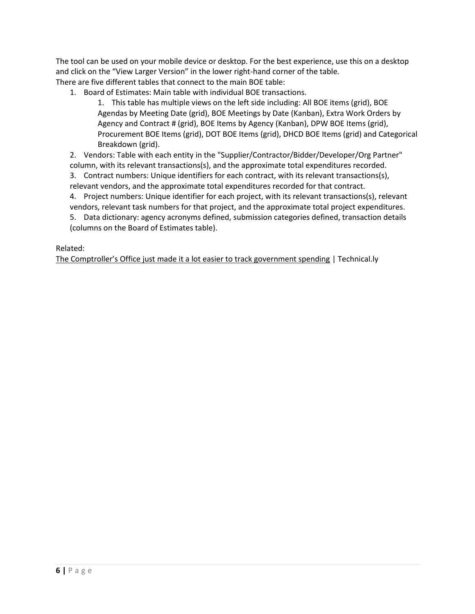The tool can be used on your mobile device or desktop. For the best experience, use this on a desktop and click on the "View Larger Version" in the lower right-hand corner of the table. There are five different tables that connect to the main BOE table:

1. Board of Estimates: Main table with individual BOE transactions.

1. This table has multiple views on the left side including: All BOE items (grid), BOE Agendas by Meeting Date (grid), BOE Meetings by Date (Kanban), Extra Work Orders by Agency and Contract # (grid), BOE Items by Agency (Kanban), DPW BOE Items (grid), Procurement BOE Items (grid), DOT BOE Items (grid), DHCD BOE Items (grid) and Categorical Breakdown (grid).

2. Vendors: Table with each entity in the "Supplier/Contractor/Bidder/Developer/Org Partner" column, with its relevant transactions(s), and the approximate total expenditures recorded.

3. Contract numbers: Unique identifiers for each contract, with its relevant transactions(s), relevant vendors, and the approximate total expenditures recorded for that contract.

4. Project numbers: Unique identifier for each project, with its relevant transactions(s), relevant vendors, relevant task numbers for that project, and the approximate total project expenditures. 5. Data dictionary: agency acronyms defined, submission categories defined, transaction details (columns on the Board of Estimates table).

#### Related:

[The Comptroller's Office just made it a lot easier to track government spending](https://technical.ly/civic-news/comptrollers-office-board-of-estimates-tracking-tool/) | Technical.ly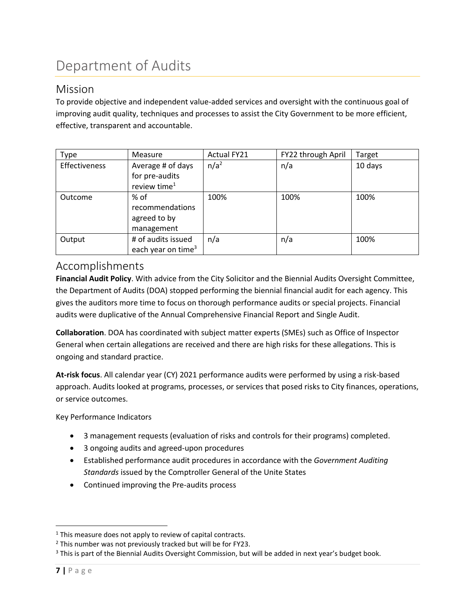# <span id="page-7-0"></span>Department of Audits

#### <span id="page-7-1"></span>Mission

To provide objective and independent value-added services and oversight with the continuous goal of improving audit quality, techniques and processes to assist the City Government to be more efficient, effective, transparent and accountable.

| Type          | <b>Measure</b>                                        | <b>Actual FY21</b> | FY22 through April | Target  |
|---------------|-------------------------------------------------------|--------------------|--------------------|---------|
| Effectiveness | Average # of days<br>for pre-audits                   | n/a <sup>2</sup>   | n/a                | 10 days |
|               | review time <sup>1</sup>                              |                    |                    |         |
| Outcome       | % of<br>recommendations<br>agreed to by<br>management | 100%               | 100%               | 100%    |
| Output        | # of audits issued<br>each year on time <sup>3</sup>  | n/a                | n/a                | 100%    |

#### <span id="page-7-2"></span>Accomplishments

**Financial Audit Policy**. With advice from the City Solicitor and the Biennial Audits Oversight Committee, the Department of Audits (DOA) stopped performing the biennial financial audit for each agency. This gives the auditors more time to focus on thorough performance audits or special projects. Financial audits were duplicative of the Annual Comprehensive Financial Report and Single Audit.

**Collaboration**. DOA has coordinated with subject matter experts (SMEs) such as Office of Inspector General when certain allegations are received and there are high risks for these allegations. This is ongoing and standard practice.

**At-risk focus**. All calendar year (CY) 2021 performance audits were performed by using a risk-based approach. Audits looked at programs, processes, or services that posed risks to City finances, operations, or service outcomes.

Key Performance Indicators

- 3 management requests (evaluation of risks and controls for their programs) completed.
- 3 ongoing audits and agreed-upon procedures
- Established performance audit procedures in accordance with the *Government Auditing Standards* issued by the Comptroller General of the Unite States
- Continued improving the Pre-audits process

 $\overline{a}$  $1$  This measure does not apply to review of capital contracts.

 $2$  This number was not previously tracked but will be for FY23.

<sup>&</sup>lt;sup>3</sup> This is part of the Biennial Audits Oversight Commission, but will be added in next year's budget book.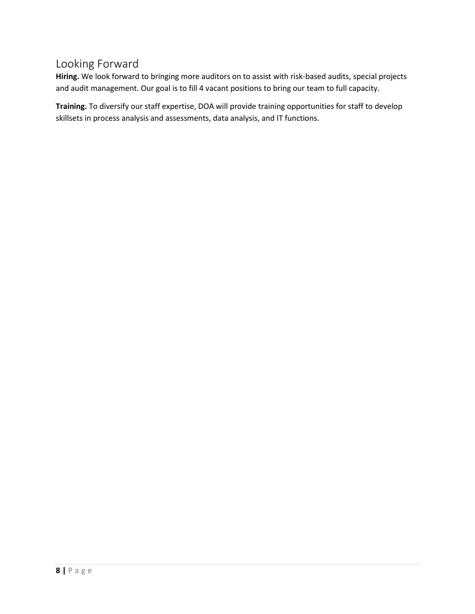## <span id="page-8-0"></span>Looking Forward

**Hiring.** We look forward to bringing more auditors on to assist with risk-based audits, special projects and audit management. Our goal is to fill 4 vacant positions to bring our team to full capacity.

**Training.** To diversify our staff expertise, DOA will provide training opportunities for staff to develop skillsets in process analysis and assessments, data analysis, and IT functions.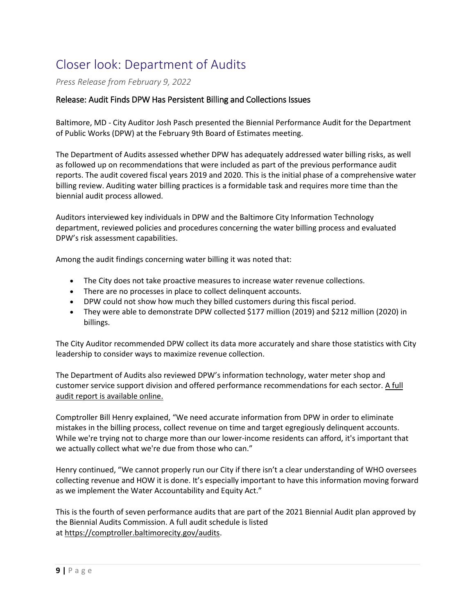## <span id="page-9-0"></span>Closer look: Department of Audits

*Press Release from February 9, 2022*

#### Release: Audit Finds DPW Has Persistent Billing and Collections Issues

Baltimore, MD - City Auditor Josh Pasch presented the Biennial Performance Audit for the Department of Public Works (DPW) at the February 9th Board of Estimates meeting.

The Department of Audits assessed whether DPW has adequately addressed water billing risks, as well as followed up on recommendations that were included as part of the previous performance audit reports. The audit covered fiscal years 2019 and 2020. This is the initial phase of a comprehensive water billing review. Auditing water billing practices is a formidable task and requires more time than the biennial audit process allowed.

Auditors interviewed key individuals in DPW and the Baltimore City Information Technology department, reviewed policies and procedures concerning the water billing process and evaluated DPW's risk assessment capabilities.

Among the audit findings concerning water billing it was noted that:

- The City does not take proactive measures to increase water revenue collections.
- There are no processes in place to collect delinquent accounts.
- DPW could not show how much they billed customers during this fiscal period.
- They were able to demonstrate DPW collected \$177 million (2019) and \$212 million (2020) in billings.

The City Auditor recommended DPW collect its data more accurately and share those statistics with City leadership to consider ways to maximize revenue collection.

The Department of Audits also reviewed DPW's information technology, water meter shop and customer service support division and offered performance recommendations for each sector. A full [audit report is available online.](https://comptroller.baltimorecity.gov/sites/default/files/comptroller_baltimorecity_gov/attachments/DPW%20Perf.%20Audit_12-30-2021.pdf)

Comptroller Bill Henry explained, "We need accurate information from DPW in order to eliminate mistakes in the billing process, collect revenue on time and target egregiously delinquent accounts. While we're trying not to charge more than our lower-income residents can afford, it's important that we actually collect what we're due from those who can."

Henry continued, "We cannot properly run our City if there isn't a clear understanding of WHO oversees collecting revenue and HOW it is done. It's especially important to have this information moving forward as we implement the Water Accountability and Equity Act."

This is the fourth of seven performance audits that are part of the 2021 Biennial Audit plan approved by the Biennial Audits Commission. A full audit schedule is listed at [https://comptroller.baltimorecity.gov/audits.](https://comptroller.baltimorecity.gov/audits)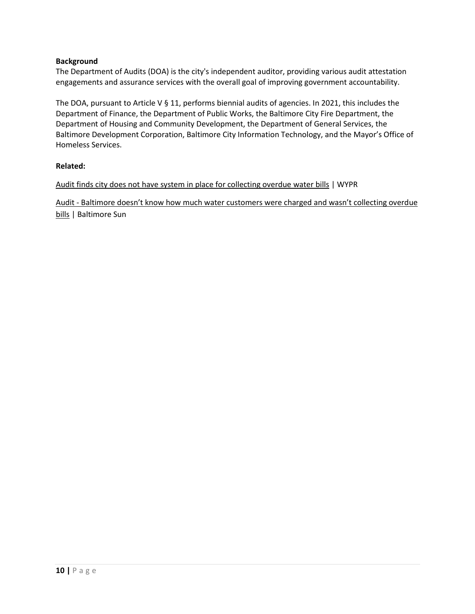#### **Background**

The Department of Audits (DOA) is the city's independent auditor, providing various audit attestation engagements and assurance services with the overall goal of improving government accountability.

The DOA, pursuant to Article V § 11, performs biennial audits of agencies. In 2021, this includes the Department of Finance, the Department of Public Works, the Baltimore City Fire Department, the Department of Housing and Community Development, the Department of General Services, the Baltimore Development Corporation, Baltimore City Information Technology, and the Mayor's Office of Homeless Services.

#### **Related:**

[Audit finds city does not have system in place for collecting overdue](https://www.wypr.org/wypr-news/2022-02-09/audit-finds-city-does-not-have-system-in-place-for-collecting-overdue-water-bills) water bills | WYPR

Audit - [Baltimore doesn't know how much water customers were charged and wasn't collecting overd](https://www.baltimoresun.com/politics/bs-md-ci-baltimore-water-billing-audit-20220209-czlwczo6qzdg7jwjviqiyh7hua-story.html)ue [bills](https://www.baltimoresun.com/politics/bs-md-ci-baltimore-water-billing-audit-20220209-czlwczo6qzdg7jwjviqiyh7hua-story.html) | Baltimore Sun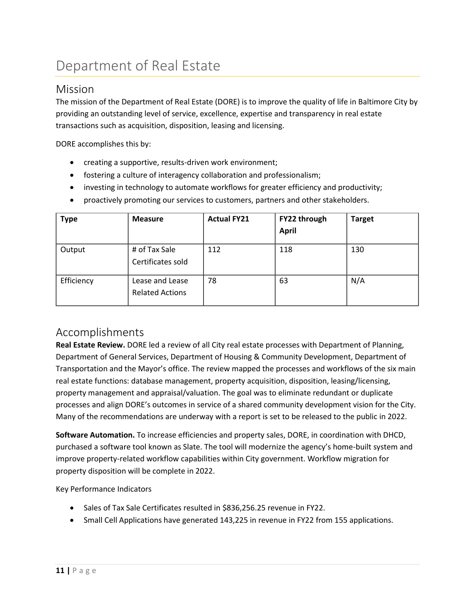# <span id="page-11-0"></span>Department of Real Estate

### <span id="page-11-1"></span>Mission

The mission of the Department of Real Estate (DORE) is to improve the quality of life in Baltimore City by providing an outstanding level of service, excellence, expertise and transparency in real estate transactions such as acquisition, disposition, leasing and licensing.

DORE accomplishes this by:

- creating a supportive, results-driven work environment;
- fostering a culture of interagency collaboration and professionalism;
- investing in technology to automate workflows for greater efficiency and productivity;
- proactively promoting our services to customers, partners and other stakeholders.

| <b>Type</b> | <b>Measure</b>                            | <b>Actual FY21</b> | FY22 through<br><b>April</b> | <b>Target</b> |
|-------------|-------------------------------------------|--------------------|------------------------------|---------------|
| Output      | # of Tax Sale<br>Certificates sold        | 112                | 118                          | 130           |
| Efficiency  | Lease and Lease<br><b>Related Actions</b> | 78                 | 63                           | N/A           |

#### <span id="page-11-2"></span>Accomplishments

**Real Estate Review.** DORE led a review of all City real estate processes with Department of Planning, Department of General Services, Department of Housing & Community Development, Department of Transportation and the Mayor's office. The review mapped the processes and workflows of the six main real estate functions: database management, property acquisition, disposition, leasing/licensing, property management and appraisal/valuation. The goal was to eliminate redundant or duplicate processes and align DORE's outcomes in service of a shared community development vision for the City. Many of the recommendations are underway with a report is set to be released to the public in 2022.

**Software Automation.** To increase efficiencies and property sales, DORE, in coordination with DHCD, purchased a software tool known as Slate. The tool will modernize the agency's home-built system and improve property-related workflow capabilities within City government. Workflow migration for property disposition will be complete in 2022.

Key Performance Indicators

- Sales of Tax Sale Certificates resulted in \$836,256.25 revenue in FY22.
- Small Cell Applications have generated 143,225 in revenue in FY22 from 155 applications.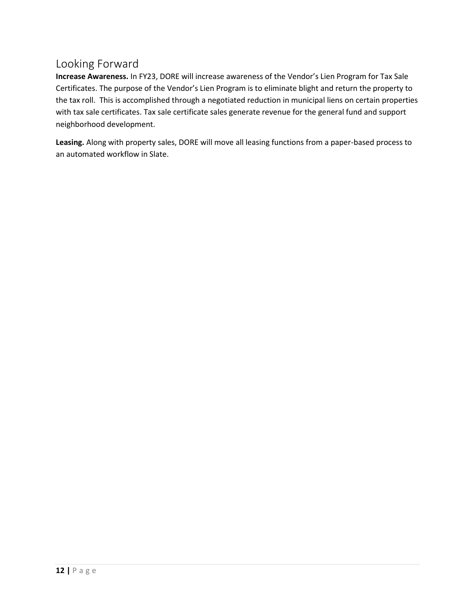## <span id="page-12-0"></span>Looking Forward

**Increase Awareness.** In FY23, DORE will increase awareness of the Vendor's Lien Program for Tax Sale Certificates. The purpose of the Vendor's Lien Program is to eliminate blight and return the property to the tax roll. This is accomplished through a negotiated reduction in municipal liens on certain properties with tax sale certificates. Tax sale certificate sales generate revenue for the general fund and support neighborhood development.

**Leasing.** Along with property sales, DORE will move all leasing functions from a paper-based process to an automated workflow in Slate.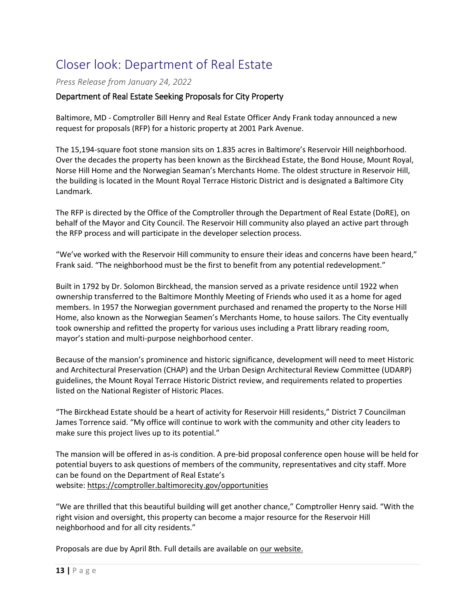## <span id="page-13-0"></span>Closer look: Department of Real Estate

*Press Release from January 24, 2022*

#### Department of Real Estate Seeking Proposals for City Property

Baltimore, MD - Comptroller Bill Henry and Real Estate Officer Andy Frank today announced a new request for proposals (RFP) for a historic property at 2001 Park Avenue.

The 15,194-square foot stone mansion sits on 1.835 acres in Baltimore's Reservoir Hill neighborhood. Over the decades the property has been known as the Birckhead Estate, the Bond House, Mount Royal, Norse Hill Home and the Norwegian Seaman's Merchants Home. The oldest structure in Reservoir Hill, the building is located in the Mount Royal Terrace Historic District and is designated a Baltimore City Landmark.

The RFP is directed by the Office of the Comptroller through the Department of Real Estate (DoRE), on behalf of the Mayor and City Council. The Reservoir Hill community also played an active part through the RFP process and will participate in the developer selection process.

"We've worked with the Reservoir Hill community to ensure their ideas and concerns have been heard," Frank said. "The neighborhood must be the first to benefit from any potential redevelopment."

Built in 1792 by Dr. Solomon Birckhead, the mansion served as a private residence until 1922 when ownership transferred to the Baltimore Monthly Meeting of Friends who used it as a home for aged members. In 1957 the Norwegian government purchased and renamed the property to the Norse Hill Home, also known as the Norwegian Seamen's Merchants Home, to house sailors. The City eventually took ownership and refitted the property for various uses including a Pratt library reading room, mayor's station and multi-purpose neighborhood center.

Because of the mansion's prominence and historic significance, development will need to meet Historic and Architectural Preservation (CHAP) and the Urban Design Architectural Review Committee (UDARP) guidelines, the Mount Royal Terrace Historic District review, and requirements related to properties listed on the National Register of Historic Places.

"The Birckhead Estate should be a heart of activity for Reservoir Hill residents," District 7 Councilman James Torrence said. "My office will continue to work with the community and other city leaders to make sure this project lives up to its potential."

The mansion will be offered in as-is condition. A pre-bid proposal conference open house will be held for potential buyers to ask questions of members of the community, representatives and city staff. More can be found on the Department of Real Estate's website: <https://comptroller.baltimorecity.gov/opportunities>

"We are thrilled that this beautiful building will get another chance," Comptroller Henry said. "With the right vision and oversight, this property can become a major resource for the Reservoir Hill neighborhood and for all city residents."

Proposals are due by April 8th. Full details are available on [our website.](https://comptroller.baltimorecity.gov/opportunities)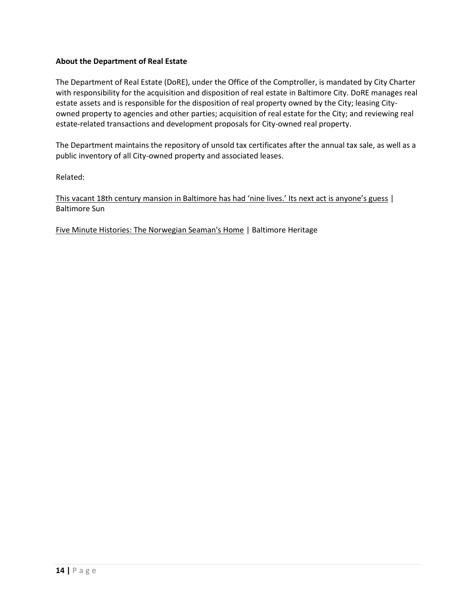#### **About the Department of Real Estate**

The Department of Real Estate (DoRE), under the Office of the Comptroller, is mandated by City Charter with responsibility for the acquisition and disposition of real estate in Baltimore City. DoRE manages real estate assets and is responsible for the disposition of real property owned by the City; leasing Cityowned property to agencies and other parties; acquisition of real estate for the City; and reviewing real estate-related transactions and development proposals for City-owned real property.

The Department maintains the repository of unsold tax certificates after the annual tax sale, as well as a public inventory of all City-owned property and associated leases.

Related:

[This vacant 18th century mansion in Baltimore has had 'nine lives.' Its next act is anyone's guess](https://www.baltimoresun.com/maryland/baltimore-city/bs-pr-md-ci-reservoir-hill-20220124-wr6hb4cghfaxlo5z3fqycip42u-story.html) | Baltimore Sun

[Five Minute Histories: The Norwegian Seaman's Home](https://www.youtube.com/watch?v=9djD1q3-r8Y) | Baltimore Heritage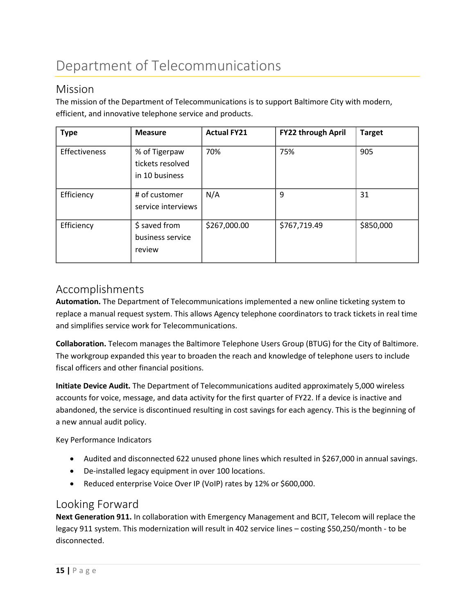# <span id="page-15-0"></span>Department of Telecommunications

#### <span id="page-15-1"></span>Mission

The mission of the Department of Telecommunications is to support Baltimore City with modern, efficient, and innovative telephone service and products.

| <b>Type</b>   | <b>Measure</b>                                      | <b>Actual FY21</b> | FY22 through April | <b>Target</b> |
|---------------|-----------------------------------------------------|--------------------|--------------------|---------------|
| Effectiveness | % of Tigerpaw<br>tickets resolved<br>in 10 business | 70%                | 75%                | 905           |
| Efficiency    | # of customer<br>service interviews                 | N/A                | 9                  | 31            |
| Efficiency    | \$ saved from<br>business service<br>review         | \$267,000.00       | \$767,719.49       | \$850,000     |

### <span id="page-15-2"></span>Accomplishments

**Automation.** The Department of Telecommunications implemented a new online ticketing system to replace a manual request system. This allows Agency telephone coordinators to track tickets in real time and simplifies service work for Telecommunications.

**Collaboration.** Telecom manages the Baltimore Telephone Users Group (BTUG) for the City of Baltimore. The workgroup expanded this year to broaden the reach and knowledge of telephone users to include fiscal officers and other financial positions.

**Initiate Device Audit.** The Department of Telecommunications audited approximately 5,000 wireless accounts for voice, message, and data activity for the first quarter of FY22. If a device is inactive and abandoned, the service is discontinued resulting in cost savings for each agency. This is the beginning of a new annual audit policy.

Key Performance Indicators

- Audited and disconnected 622 unused phone lines which resulted in \$267,000 in annual savings.
- De-installed legacy equipment in over 100 locations.
- Reduced enterprise Voice Over IP (VoIP) rates by 12% or \$600,000.

### <span id="page-15-3"></span>Looking Forward

**Next Generation 911.** In collaboration with Emergency Management and BCIT, Telecom will replace the legacy 911 system. This modernization will result in 402 service lines – costing \$50,250/month - to be disconnected.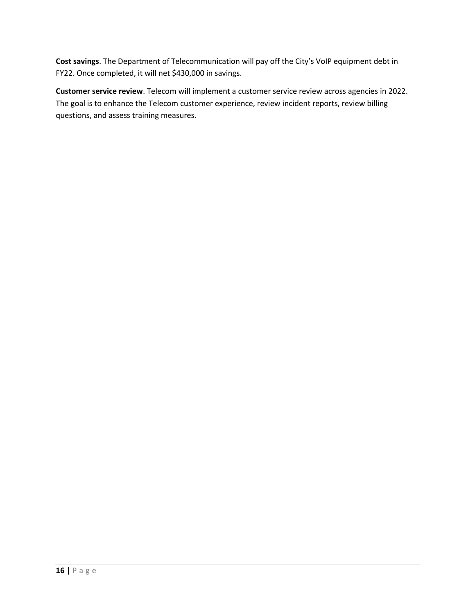**Cost savings**. The Department of Telecommunication will pay off the City's VoIP equipment debt in FY22. Once completed, it will net \$430,000 in savings.

**Customer service review**. Telecom will implement a customer service review across agencies in 2022. The goal is to enhance the Telecom customer experience, review incident reports, review billing questions, and assess training measures.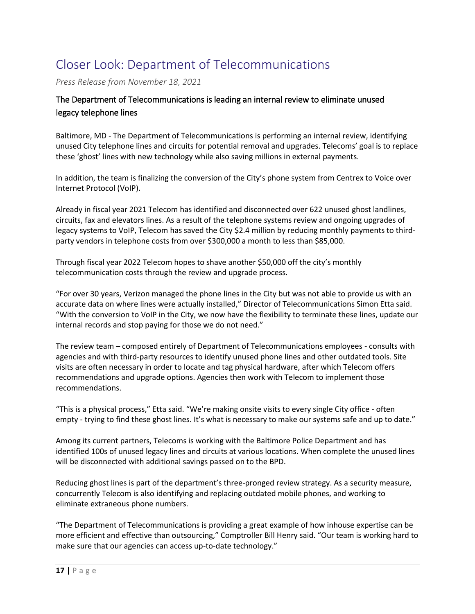## <span id="page-17-0"></span>Closer Look: Department of Telecommunications

*Press Release from November 18, 2021*

#### The Department of Telecommunications is leading an internal review to eliminate unused legacy telephone lines

Baltimore, MD - The Department of Telecommunications is performing an internal review, identifying unused City telephone lines and circuits for potential removal and upgrades. Telecoms' goal is to replace these 'ghost' lines with new technology while also saving millions in external payments.

In addition, the team is finalizing the conversion of the City's phone system from Centrex to Voice over Internet Protocol (VoIP).

Already in fiscal year 2021 Telecom has identified and disconnected over 622 unused ghost landlines, circuits, fax and elevators lines. As a result of the telephone systems review and ongoing upgrades of legacy systems to VoIP, Telecom has saved the City \$2.4 million by reducing monthly payments to thirdparty vendors in telephone costs from over \$300,000 a month to less than \$85,000.

Through fiscal year 2022 Telecom hopes to shave another \$50,000 off the city's monthly telecommunication costs through the review and upgrade process.

"For over 30 years, Verizon managed the phone lines in the City but was not able to provide us with an accurate data on where lines were actually installed," Director of Telecommunications Simon Etta said. "With the conversion to VoIP in the City, we now have the flexibility to terminate these lines, update our internal records and stop paying for those we do not need."

The review team – composed entirely of Department of Telecommunications employees - consults with agencies and with third-party resources to identify unused phone lines and other outdated tools. Site visits are often necessary in order to locate and tag physical hardware, after which Telecom offers recommendations and upgrade options. Agencies then work with Telecom to implement those recommendations.

"This is a physical process," Etta said. "We're making onsite visits to every single City office - often empty - trying to find these ghost lines. It's what is necessary to make our systems safe and up to date."

Among its current partners, Telecoms is working with the Baltimore Police Department and has identified 100s of unused legacy lines and circuits at various locations. When complete the unused lines will be disconnected with additional savings passed on to the BPD.

Reducing ghost lines is part of the department's three-pronged review strategy. As a security measure, concurrently Telecom is also identifying and replacing outdated mobile phones, and working to eliminate extraneous phone numbers.

"The Department of Telecommunications is providing a great example of how inhouse expertise can be more efficient and effective than outsourcing," Comptroller Bill Henry said. "Our team is working hard to make sure that our agencies can access up-to-date technology."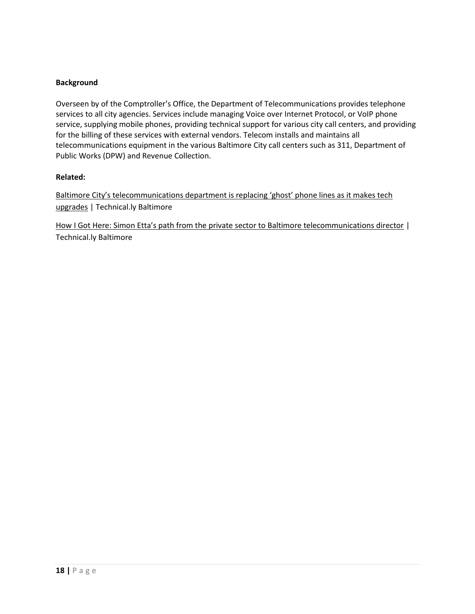#### **Background**

Overseen by of the Comptroller's Office, the Department of Telecommunications provides telephone services to all city agencies. Services include managing Voice over Internet Protocol, or VoIP phone service, supplying mobile phones, providing technical support for various city call centers, and providing for the billing of these services with external vendors. Telecom installs and maintains all telecommunications equipment in the various Baltimore City call centers such as 311, Department of Public Works (DPW) and Revenue Collection.

#### **Related:**

[Baltimore City's telecommunications department is replacing 'ghost' phone lines as it makes tech](https://technical.ly/civic-news/ghost-phone-lines-city-comptroller/)  [upgrades](https://technical.ly/civic-news/ghost-phone-lines-city-comptroller/) | Technical.ly Baltimore

[How I Got Here: Simon Etta's path from the private sector to Baltimore telecommunications director](https://technical.ly/civic-news/simon-etta-telecommunications-director/) | Technical.ly Baltimore